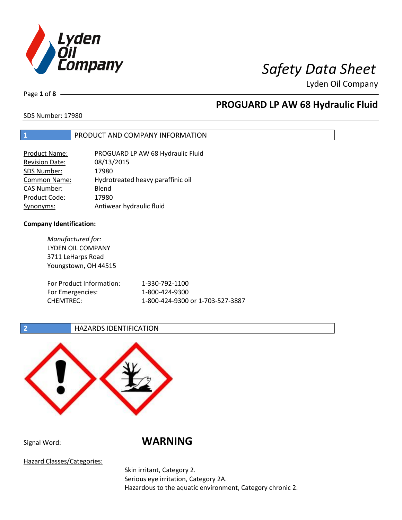

Page **1** of **8**

## **PROGUARD LP AW 68 Hydraulic Fluid**

SDS Number: 17980

## **1** PRODUCT AND COMPANY INFORMATION

| <b>Product Name:</b>  | PROGUARD LP AW 68 Hydraulic Fluid |
|-----------------------|-----------------------------------|
| <b>Revision Date:</b> | 08/13/2015                        |
| SDS Number:           | 17980                             |
| <b>Common Name:</b>   | Hydrotreated heavy paraffinic oil |
| <b>CAS Number:</b>    | Blend                             |
| Product Code:         | 17980                             |
| Synonyms:             | Antiwear hydraulic fluid          |

### **Company Identification:**

*Manufactured for:* LYDEN OIL COMPANY 3711 LeHarps Road Youngstown, OH 44515 For Product Information: 1-330-792-1100 For Emergencies: 1-800-424-9300 CHEMTREC: 1-800-424-9300 or 1-703-527-3887

## **2 HAZARDS IDENTIFICATION**



Signal Word: **WARNING**

Hazard Classes/Categories:

Skin irritant, Category 2. Serious eye irritation, Category 2A. Hazardous to the aquatic environment, Category chronic 2.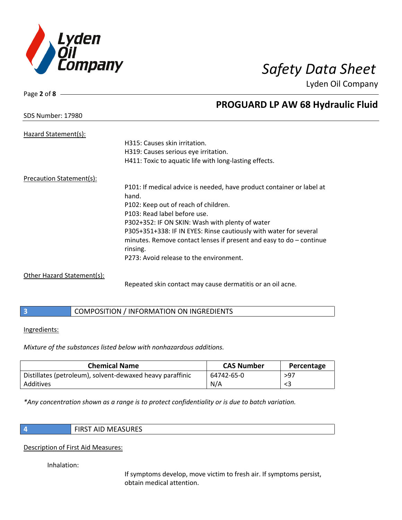

SDS Number: 17980

Page **2** of **8**

## **PROGUARD LP AW 68 Hydraulic Fluid**

| Hazard Statement(s):       |                                                                       |
|----------------------------|-----------------------------------------------------------------------|
|                            | H315: Causes skin irritation.                                         |
|                            | H319: Causes serious eye irritation.                                  |
|                            | H411: Toxic to aquatic life with long-lasting effects.                |
| Precaution Statement(s):   |                                                                       |
|                            | P101: If medical advice is needed, have product container or label at |
|                            | hand.                                                                 |
|                            | P102: Keep out of reach of children.                                  |
|                            | P103: Read label before use.                                          |
|                            | P302+352: IF ON SKIN: Wash with plenty of water                       |
|                            | P305+351+338: IF IN EYES: Rinse cautiously with water for several     |
|                            | minutes. Remove contact lenses if present and easy to $do$ – continue |
|                            | rinsing.                                                              |
|                            | P273: Avoid release to the environment.                               |
| Other Hazard Statement(s): |                                                                       |

Repeated skin contact may cause dermatitis or an oil acne.

|  | COMPOSITION / INFORMATION ON INGREDIENTS |
|--|------------------------------------------|
|--|------------------------------------------|

### Ingredients:

*Mixture of the substances listed below with nonhazardous additions.*

| <b>Chemical Name</b>                                      | <b>CAS Number</b> | Percentage |
|-----------------------------------------------------------|-------------------|------------|
| Distillates (petroleum), solvent-dewaxed heavy paraffinic | 64742-65-0        | >97        |
| Additives                                                 | N/A               | $\leq$ 3   |

*\*Any concentration shown as a range is to protect confidentiality or is due to batch variation.*

| <b>FIRST AID MEASURES</b> |
|---------------------------|
|                           |

## Description of First Aid Measures:

Inhalation:

If symptoms develop, move victim to fresh air. If symptoms persist, obtain medical attention.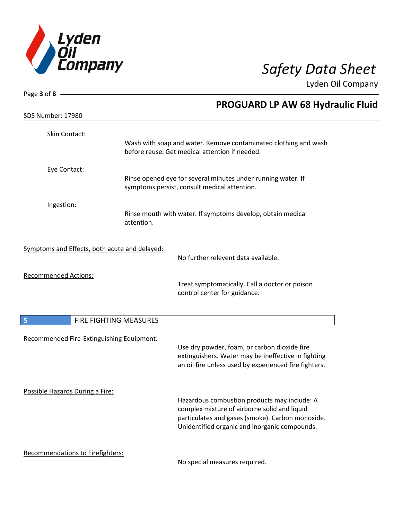

| Page 3 of 8 -                                 |                                                                                                                                                                                                   |
|-----------------------------------------------|---------------------------------------------------------------------------------------------------------------------------------------------------------------------------------------------------|
|                                               | <b>PROGUARD LP AW 68 Hydraulic Fluid</b>                                                                                                                                                          |
| <b>SDS Number: 17980</b>                      |                                                                                                                                                                                                   |
| Skin Contact:                                 | Wash with soap and water. Remove contaminated clothing and wash<br>before reuse. Get medical attention if needed.                                                                                 |
|                                               |                                                                                                                                                                                                   |
| Eye Contact:                                  | Rinse opened eye for several minutes under running water. If<br>symptoms persist, consult medical attention.                                                                                      |
| Ingestion:                                    | Rinse mouth with water. If symptoms develop, obtain medical<br>attention.                                                                                                                         |
| Symptoms and Effects, both acute and delayed: | No further relevent data available.                                                                                                                                                               |
| <b>Recommended Actions:</b>                   | Treat symptomatically. Call a doctor or poison<br>control center for guidance.                                                                                                                    |
| 5                                             | FIRE FIGHTING MEASURES                                                                                                                                                                            |
| Recommended Fire-Extinguishing Equipment:     | Use dry powder, foam, or carbon dioxide fire<br>extinguishers. Water may be ineffective in fighting<br>an oil fire unless used by experienced fire fighters.                                      |
| Possible Hazards During a Fire:               | Hazardous combustion products may include: A<br>complex mixture of airborne solid and liquid<br>particulates and gases (smoke). Carbon monoxide.<br>Unidentified organic and inorganic compounds. |
| Recommendations to Firefighters:              | No special measures required                                                                                                                                                                      |

No special measures required.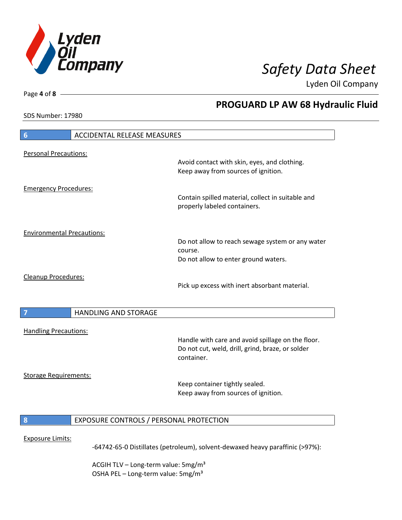

**PROGUARD LP AW 68 Hydraulic Fluid**

Lyden Oil Company

SDS Number: 17980

Page **4** of **8**

# **6** ACCIDENTAL RELEASE MEASURES Personal Precautions: Avoid contact with skin, eyes, and clothing. Keep away from sources of ignition. Emergency Procedures: Contain spilled material, collect in suitable and properly labeled containers. Environmental Precautions: Do not allow to reach sewage system or any water course. Do not allow to enter ground waters. Cleanup Procedures: Pick up excess with inert absorbant material. **7 HANDLING AND STORAGE** Handling Precautions: Handle with care and avoid spillage on the floor. Do not cut, weld, drill, grind, braze, or solder container. Storage Requirements: Keep container tightly sealed. Keep away from sources of ignition. **8** EXPOSURE CONTROLS / PERSONAL PROTECTION Exposure Limits: -64742-65-0 Distillates (petroleum), solvent-dewaxed heavy paraffinic (>97%):

ACGIH TLV – Long-term value:  $5\,\text{mg/m}^3$ OSHA PEL - Long-term value: 5mg/m<sup>3</sup>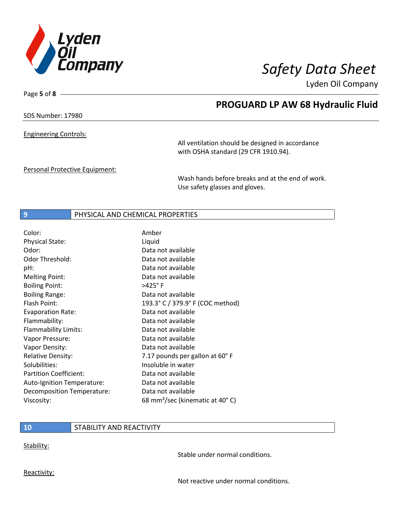

Page **5** of **8**

## **PROGUARD LP AW 68 Hydraulic Fluid**

SDS Number: 17980

Engineering Controls:

All ventilation should be designed in accordance with OSHA standard (29 CFR 1910.94).

Personal Protective Equipment:

Wash hands before breaks and at the end of work. Use safety glasses and gloves.

### **9** PHYSICAL AND CHEMICAL PROPERTIES

| Color:                        | Amber                                       |
|-------------------------------|---------------------------------------------|
| <b>Physical State:</b>        | Liquid                                      |
| Odor:                         | Data not available                          |
| Odor Threshold:               | Data not available                          |
| pH:                           | Data not available                          |
| <b>Melting Point:</b>         | Data not available                          |
| <b>Boiling Point:</b>         | $>425^\circ$ F                              |
| <b>Boiling Range:</b>         | Data not available                          |
| Flash Point:                  | 193.3° C / 379.9° F (COC method)            |
| Evaporation Rate:             | Data not available                          |
| Flammability:                 | Data not available                          |
| Flammability Limits:          | Data not available                          |
| Vapor Pressure:               | Data not available                          |
| Vapor Density:                | Data not available                          |
| <b>Relative Density:</b>      | 7.17 pounds per gallon at 60°F              |
| Solubilities:                 | Insoluble in water                          |
| <b>Partition Coefficient:</b> | Data not available                          |
| Auto-Ignition Temperature:    | Data not available                          |
| Decomposition Temperature:    | Data not available                          |
| Viscosity:                    | 68 mm <sup>2</sup> /sec (kinematic at 40°C) |

## **10** STABILITY AND REACTIVITY

Stability:

Stable under normal conditions.

Reactivity:

Not reactive under normal conditions.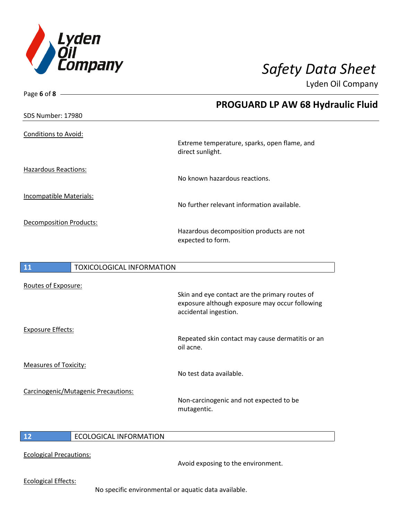

| Page 6 of 8                            |                                                                                                                           |
|----------------------------------------|---------------------------------------------------------------------------------------------------------------------------|
|                                        | PROGUARD LP AW 68 Hydraulic Fluid                                                                                         |
| SDS Number: 17980                      |                                                                                                                           |
| <b>Conditions to Avoid:</b>            | Extreme temperature, sparks, open flame, and<br>direct sunlight.                                                          |
| <b>Hazardous Reactions:</b>            | No known hazardous reactions.                                                                                             |
| <b>Incompatible Materials:</b>         | No further relevant information available.                                                                                |
| <b>Decomposition Products:</b>         | Hazardous decomposition products are not<br>expected to form.                                                             |
| 11<br><b>TOXICOLOGICAL INFORMATION</b> |                                                                                                                           |
| Routes of Exposure:                    | Skin and eye contact are the primary routes of<br>exposure although exposure may occur following<br>accidental ingestion. |
| <b>Exposure Effects:</b>               | Repeated skin contact may cause dermatitis or an<br>oil acne.                                                             |

Measures of Toxicity:

Carcinogenic/Mutagenic Precautions:

Non-carcinogenic and not expected to be mutagentic.

No test data available.

 $\overline{\phantom{a}}$ 

### **12** ECOLOGICAL INFORMATION

Ecological Precautions:

Avoid exposing to the environment.

Ecological Effects:

No specific environmental or aquatic data available.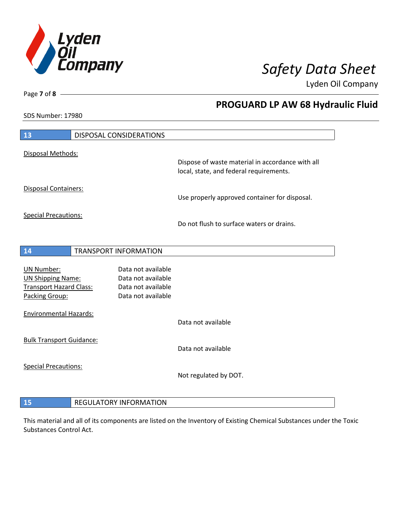

**PROGUARD LP AW 68 Hydraulic Fluid**

Lyden Oil Company

SDS Number: 17980

Page **7** of **8**

| 13                                                                                         | DISPOSAL CONSIDERATIONS                                                              |                                                                                             |
|--------------------------------------------------------------------------------------------|--------------------------------------------------------------------------------------|---------------------------------------------------------------------------------------------|
| Disposal Methods:                                                                          |                                                                                      |                                                                                             |
|                                                                                            |                                                                                      | Dispose of waste material in accordance with all<br>local, state, and federal requirements. |
| <b>Disposal Containers:</b>                                                                |                                                                                      | Use properly approved container for disposal.                                               |
| <b>Special Precautions:</b>                                                                |                                                                                      | Do not flush to surface waters or drains.                                                   |
|                                                                                            |                                                                                      |                                                                                             |
| 14                                                                                         | <b>TRANSPORT INFORMATION</b>                                                         |                                                                                             |
| UN Number:<br><b>UN Shipping Name:</b><br><b>Transport Hazard Class:</b><br>Packing Group: | Data not available<br>Data not available<br>Data not available<br>Data not available |                                                                                             |
| <b>Environmental Hazards:</b>                                                              |                                                                                      | Data not available                                                                          |
| <b>Bulk Transport Guidance:</b>                                                            |                                                                                      | Data not available                                                                          |
| <b>Special Precautions:</b>                                                                |                                                                                      | Not regulated by DOT.                                                                       |
| 15                                                                                         | <b>REGULATORY INFORMATION</b>                                                        |                                                                                             |

This material and all of its components are listed on the Inventory of Existing Chemical Substances under the Toxic Substances Control Act.